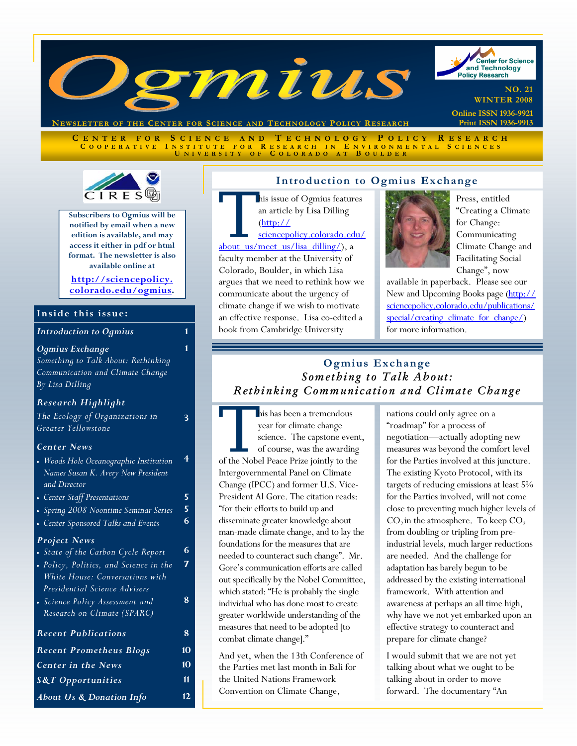

**NEWSLETTER OF THE CENTER FOR SCIENCE AND T ECHNOLOGY POLICY R ESEARCH**

**C ENTER FOR S CIENCE AND T ECHNOLOGY P OLICY R ESEARCH C OOPERATIVE I NSTITUTE FOR R ESEARCH I N E NVIRONMENTAL S CIENCES U NIVERSITY O F C OLORADO A T B OULDER**



**Subscribers to Ogmius will be notified by email when a new edition is available, and may access it either in pdf or html format. The newsletter is also available online at** 

**http://sciencepolicy. [colorado.edu/ogmius.](http://sciencepolicy.colorado.edu/ogmius)** 

**1** 

#### **Inside this issue:**

| <b>Introduction to Ogmius</b> |  |
|-------------------------------|--|
|-------------------------------|--|

#### *Ogmius Exchange*

*Something to Talk About: Rethinking Communication and Climate Change By Lisa Dilling*

| <b>Research Highlight</b>                                                                                  |    |
|------------------------------------------------------------------------------------------------------------|----|
| The Ecology of Organizations in<br>Greater Yellowstone                                                     |    |
| <b>Center News</b>                                                                                         |    |
| • Woods Hole Oceanographic Institution<br>Names Susan K. Avery New President<br>and Director               |    |
| • Center Staff Presentations                                                                               | 5  |
| Spring 2008 Noontime Seminar Series<br>$\bullet$                                                           | 5  |
| • Center Sponsored Talks and Events                                                                        | 6  |
| <b>Project News</b>                                                                                        |    |
| • State of the Carbon Cycle Report                                                                         | 6  |
| · Policy, Politics, and Science in the<br>White House: Conversations with<br>Presidential Science Advisers | 7  |
| • Science Policy Assessment and<br>Research on Climate (SPARC)                                             | 8  |
| <b>Recent Publications</b>                                                                                 | 8  |
| <b>Recent Prometheus Blogs</b>                                                                             | 10 |
| <b>Center in the News</b>                                                                                  | 10 |
| <b>S&amp;T</b> Opportunities                                                                               | 11 |

*About Us & Donation Info* **12** 

# **Introduction to Ogmius Exchange**

This issue of Ogmius features<br>
an article by Lisa Dilling<br>
(http://<br>
sciencepolicy.colorado.edu/<br>
about\_us/meet\_us/lisa\_dilling/), a an article by Lisa Dilling (http://

sciencepolicy.colorado.edu/

faculty member at the University of Colorado, Boulder, in which Lisa argues that we need to rethink how we

communicate about the urgency of climate change if we wish to motivate an effective response. Lisa co-edited a book from Cambridge University



Press, entitled "Creating a Climate for Change: Communicating Climate Change and Facilitating Social Change", now

**Print ISSN 1936-9913** 

available in paperback. Please see our New and Upcoming Books page (http:// sciencepolicy.colorado.edu/publications/ special/creating\_climate\_for\_change/) for more information.

## **Ogmius Exchange**  *Something to Talk About: Rethinking Communication and Climate Change*

This has been a tremendous<br>
year for climate change<br>
science. The capstone even<br>
of course, was the awarding<br>
of the Nobel Peace Prize jointly to the year for climate change science. The capstone event, of course, was the awarding Intergovernmental Panel on Climate Change (IPCC) and former U.S. Vice-President Al Gore. The citation reads: "for their efforts to build up and disseminate greater knowledge about man-made climate change, and to lay the foundations for the measures that are needed to counteract such change". Mr. Gore's communication efforts are called out specifically by the Nobel Committee, which stated: "He is probably the single individual who has done most to create greater worldwide understanding of the measures that need to be adopted [to combat climate change]."

And yet, when the 13th Conference of the Parties met last month in Bali for the United Nations Framework Convention on Climate Change,

nations could only agree on a "roadmap" for a process of negotiation—actually adopting new measures was beyond the comfort level for the Parties involved at this juncture. The existing Kyoto Protocol, with its targets of reducing emissions at least 5% for the Parties involved, will not come close to preventing much higher levels of  $CO<sub>2</sub>$  in the atmosphere. To keep  $CO<sub>2</sub>$ from doubling or tripling from preindustrial levels, much larger reductions are needed. And the challenge for adaptation has barely begun to be addressed by the existing international framework. With attention and awareness at perhaps an all time high, why have we not yet embarked upon an effective strategy to counteract and prepare for climate change?

I would submit that we are not yet talking about what we ought to be talking about in order to move forward. The documentary "An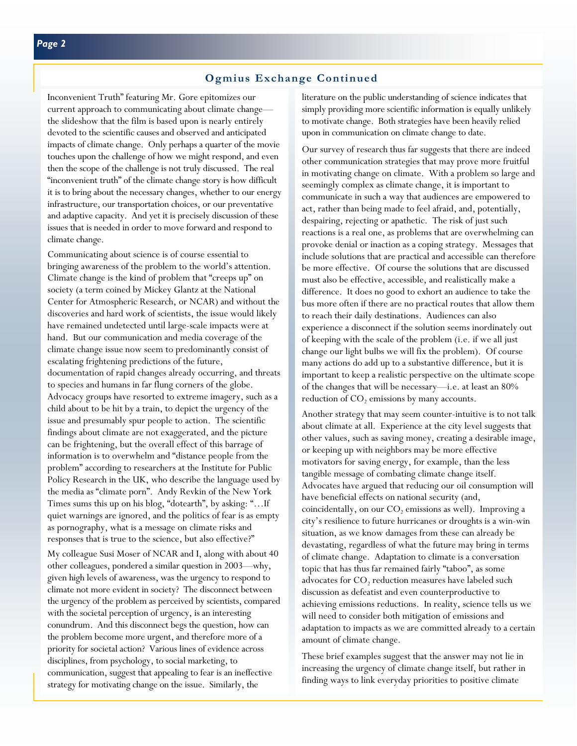## **Ogmius Exchange Continued**

Inconvenient Truth" featuring Mr. Gore epitomizes our current approach to communicating about climate change the slideshow that the film is based upon is nearly entirely devoted to the scientific causes and observed and anticipated impacts of climate change. Only perhaps a quarter of the movie touches upon the challenge of how we might respond, and even then the scope of the challenge is not truly discussed. The real "inconvenient truth" of the climate change story is how difficult it is to bring about the necessary changes, whether to our energy infrastructure, our transportation choices, or our preventative and adaptive capacity. And yet it is precisely discussion of these issues that is needed in order to move forward and respond to climate change.

Communicating about science is of course essential to bringing awareness of the problem to the world's attention. Climate change is the kind of problem that "creeps up" on society (a term coined by Mickey Glantz at the National Center for Atmospheric Research, or NCAR) and without the discoveries and hard work of scientists, the issue would likely have remained undetected until large-scale impacts were at hand. But our communication and media coverage of the climate change issue now seem to predominantly consist of escalating frightening predictions of the future, documentation of rapid changes already occurring, and threats to species and humans in far flung corners of the globe. Advocacy groups have resorted to extreme imagery, such as a child about to be hit by a train, to depict the urgency of the issue and presumably spur people to action. The scientific findings about climate are not exaggerated, and the picture can be frightening, but the overall effect of this barrage of information is to overwhelm and "distance people from the problem" according to researchers at the Institute for Public Policy Research in the UK, who describe the language used by the media as "climate porn". Andy Revkin of the New York Times sums this up on his blog, "dotearth", by asking: "…If quiet warnings are ignored, and the politics of fear is as empty as pornography, what is a message on climate risks and responses that is true to the science, but also effective?"

My colleague Susi Moser of NCAR and I, along with about 40 other colleagues, pondered a similar question in 2003—why, given high levels of awareness, was the urgency to respond to climate not more evident in society? The disconnect between the urgency of the problem as perceived by scientists, compared with the societal perception of urgency, is an interesting conundrum. And this disconnect begs the question, how can the problem become more urgent, and therefore more of a priority for societal action? Various lines of evidence across disciplines, from psychology, to social marketing, to communication, suggest that appealing to fear is an ineffective strategy for motivating change on the issue. Similarly, the

literature on the public understanding of science indicates that simply providing more scientific information is equally unlikely to motivate change. Both strategies have been heavily relied upon in communication on climate change to date.

Our survey of research thus far suggests that there are indeed other communication strategies that may prove more fruitful in motivating change on climate. With a problem so large and seemingly complex as climate change, it is important to communicate in such a way that audiences are empowered to act, rather than being made to feel afraid, and, potentially, despairing, rejecting or apathetic. The risk of just such reactions is a real one, as problems that are overwhelming can provoke denial or inaction as a coping strategy. Messages that include solutions that are practical and accessible can therefore be more effective. Of course the solutions that are discussed must also be effective, accessible, and realistically make a difference. It does no good to exhort an audience to take the bus more often if there are no practical routes that allow them to reach their daily destinations. Audiences can also experience a disconnect if the solution seems inordinately out of keeping with the scale of the problem (i.e. if we all just change our light bulbs we will fix the problem). Of course many actions do add up to a substantive difference, but it is important to keep a realistic perspective on the ultimate scope of the changes that will be necessary—i.e. at least an 80% reduction of  $CO<sub>2</sub>$  emissions by many accounts.

Another strategy that may seem counter-intuitive is to not talk about climate at all. Experience at the city level suggests that other values, such as saving money, creating a desirable image, or keeping up with neighbors may be more effective motivators for saving energy, for example, than the less tangible message of combating climate change itself. Advocates have argued that reducing our oil consumption will have beneficial effects on national security (and, coincidentally, on our  $CO$ , emissions as well). Improving a city's resilience to future hurricanes or droughts is a win-win situation, as we know damages from these can already be devastating, regardless of what the future may bring in terms of climate change. Adaptation to climate is a conversation topic that has thus far remained fairly "taboo", as some advocates for  $CO<sub>2</sub>$  reduction measures have labeled such discussion as defeatist and even counterproductive to achieving emissions reductions. In reality, science tells us we will need to consider both mitigation of emissions and adaptation to impacts as we are committed already to a certain amount of climate change.

These brief examples suggest that the answer may not lie in increasing the urgency of climate change itself, but rather in finding ways to link everyday priorities to positive climate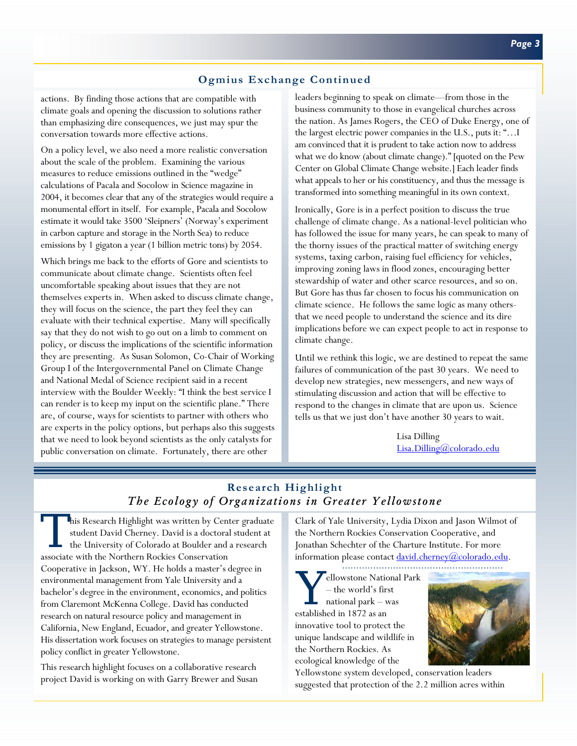## **Ogmius Exchange Continued**

actions. By finding those actions that are compatible with climate goals and opening the discussion to solutions rather than emphasizing dire consequences, we just may spur the conversation towards more effective actions.

On a policy level, we also need a more realistic conversation about the scale of the problem. Examining the various measures to reduce emissions outlined in the "wedge" calculations of Pacala and Socolow in Science magazine in 2004, it becomes clear that any of the strategies would require a monumental effort in itself. For example, Pacala and Socolow estimate it would take 3500 'Sleipners' (Norway's experiment in carbon capture and storage in the North Sea) to reduce emissions by 1 gigaton a year (1 billion metric tons) by 2054.

Which brings me back to the efforts of Gore and scientists to communicate about climate change. Scientists often feel uncomfortable speaking about issues that they are not themselves experts in. When asked to discuss climate change, they will focus on the science, the part they feel they can evaluate with their technical expertise. Many will specifically say that they do not wish to go out on a limb to comment on policy, or discuss the implications of the scientific information they are presenting. As Susan Solomon, Co-Chair of Working Group I of the Intergovernmental Panel on Climate Change and National Medal of Science recipient said in a recent interview with the Boulder Weekly: "I think the best service I can render is to keep my input on the scientific plane." There are, of course, ways for scientists to partner with others who are experts in the policy options, but perhaps also this suggests that we need to look beyond scientists as the only catalysts for public conversation on climate. Fortunately, there are other

leaders beginning to speak on climate—from those in the business community to those in evangelical churches across the nation. As James Rogers, the CEO of Duke Energy, one of the largest electric power companies in the U.S., puts it: "…I am convinced that it is prudent to take action now to address what we do know (about climate change)." [quoted on the Pew Center on Global Climate Change website.] Each leader finds what appeals to her or his constituency, and thus the message is transformed into something meaningful in its own context.

Ironically, Gore is in a perfect position to discuss the true challenge of climate change. As a national-level politician who has followed the issue for many years, he can speak to many of the thorny issues of the practical matter of switching energy systems, taxing carbon, raising fuel efficiency for vehicles, improving zoning laws in flood zones, encouraging better stewardship of water and other scarce resources, and so on. But Gore has thus far chosen to focus his communication on climate science. He follows the same logic as many othersthat we need people to understand the science and its dire implications before we can expect people to act in response to climate change.

Until we rethink this logic, we are destined to repeat the same failures of communication of the past 30 years. We need to develop new strategies, new messengers, and new ways of stimulating discussion and action that will be effective to respond to the changes in climate that are upon us. Science tells us that we just don't have another 30 years to wait.

> Lisa Dilling Lisa.Dilling@colorado.edu

# **Research Highlight**  *The Ecology of Organizations in Greater Yellowstone*

This Research Highlight was written by Center graduate<br>student David Cherney. David is a doctoral student at<br>the University of Colorado at Boulder and a research student David Cherney. David is a doctoral student at the University of Colorado at Boulder and a research associate with the Northern Rockies Conservation Cooperative in Jackson, WY. He holds a master's degree in environmental management from Yale University and a bachelor's degree in the environment, economics, and politics from Claremont McKenna College. David has conducted research on natural resource policy and management in California, New England, Ecuador, and greater Yellowstone. His dissertation work focuses on strategies to manage persistent policy conflict in greater Yellowstone.

This research highlight focuses on a collaborative research project David is working on with Garry Brewer and Susan Clark of Yale University, Lydia Dixon and Jason Wilmot of the Northern Rockies Conservation Cooperative, and Jonathan Schechter of the Charture Institute. For more information please contact  $\frac{d \text{avid}}{d \text{clm} \cdot \text{c} \cdot \text{c} \cdot \text{c} \cdot \text{c} \cdot \text{c} \cdot \text{c} \cdot \text{c} \cdot \text{c} \cdot \text{d} \cdot \text{c}}$ 

Y ellowstone National Park – the world's first national park – was established in 1872 as an innovative tool to protect the unique landscape and wildlife in the Northern Rockies. As ecological knowledge of the



Yellowstone system developed, conservation leaders suggested that protection of the 2.2 million acres within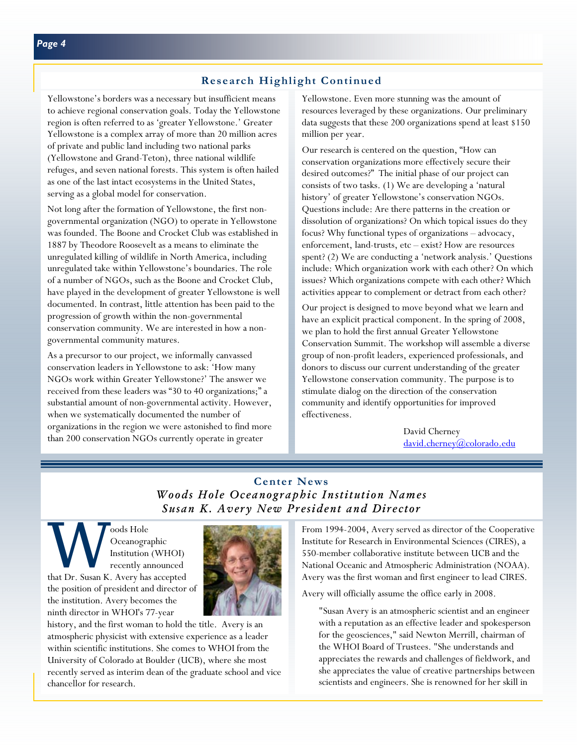## **Research Highlight Continued**

Yellowstone's borders was a necessary but insufficient means to achieve regional conservation goals. Today the Yellowstone region is often referred to as 'greater Yellowstone.' Greater Yellowstone is a complex array of more than 20 million acres of private and public land including two national parks (Yellowstone and Grand-Teton), three national wildlife refuges, and seven national forests. This system is often hailed as one of the last intact ecosystems in the United States, serving as a global model for conservation.

Not long after the formation of Yellowstone, the first nongovernmental organization (NGO) to operate in Yellowstone was founded. The Boone and Crocket Club was established in 1887 by Theodore Roosevelt as a means to eliminate the unregulated killing of wildlife in North America, including unregulated take within Yellowstone's boundaries. The role of a number of NGOs, such as the Boone and Crocket Club, have played in the development of greater Yellowstone is well documented. In contrast, little attention has been paid to the progression of growth within the non-governmental conservation community. We are interested in how a nongovernmental community matures.

As a precursor to our project, we informally canvassed conservation leaders in Yellowstone to ask: 'How many NGOs work within Greater Yellowstone?' The answer we received from these leaders was "30 to 40 organizations;" a substantial amount of non-governmental activity. However, when we systematically documented the number of organizations in the region we were astonished to find more than 200 conservation NGOs currently operate in greater

Yellowstone. Even more stunning was the amount of resources leveraged by these organizations. Our preliminary data suggests that these 200 organizations spend at least \$150 million per year.

Our research is centered on the question, "How can conservation organizations more effectively secure their desired outcomes?" The initial phase of our project can consists of two tasks. (1) We are developing a 'natural history' of greater Yellowstone's conservation NGOs. Questions include: Are there patterns in the creation or dissolution of organizations? On which topical issues do they focus? Why functional types of organizations – advocacy, enforcement, land-trusts, etc – exist? How are resources spent? (2) We are conducting a 'network analysis.' Questions include: Which organization work with each other? On which issues? Which organizations compete with each other? Which activities appear to complement or detract from each other?

Our project is designed to move beyond what we learn and have an explicit practical component. In the spring of 2008, we plan to hold the first annual Greater Yellowstone Conservation Summit. The workshop will assemble a diverse group of non-profit leaders, experienced professionals, and donors to discuss our current understanding of the greater Yellowstone conservation community. The purpose is to stimulate dialog on the direction of the conservation community and identify opportunities for improved effectiveness.

> David Cherney david.cherney@colorado.edu

# **Center News**  *Woods Hole Oceanographic Institution Names Susan K. Avery New President and Director*

W Oceanographic<br>
Institution (WHOI)<br>
recently announced<br>
that Dr. Susan K. Avery has accepted Oceanographic Institution (WHOI) recently announced the position of president and director of the institution. Avery becomes the ninth director in WHOI's 77-year



history, and the first woman to hold the title. Avery is an atmospheric physicist with extensive experience as a leader within scientific institutions. She comes to WHOI from the University of Colorado at Boulder (UCB), where she most recently served as interim dean of the graduate school and vice chancellor for research.

From 1994-2004, Avery served as director of the Cooperative Institute for Research in Environmental Sciences (CIRES), a 550-member collaborative institute between UCB and the National Oceanic and Atmospheric Administration (NOAA). Avery was the first woman and first engineer to lead CIRES.

Avery will officially assume the office early in 2008.

"Susan Avery is an atmospheric scientist and an engineer with a reputation as an effective leader and spokesperson for the geosciences," said Newton Merrill, chairman of the WHOI Board of Trustees. "She understands and appreciates the rewards and challenges of fieldwork, and she appreciates the value of creative partnerships between scientists and engineers. She is renowned for her skill in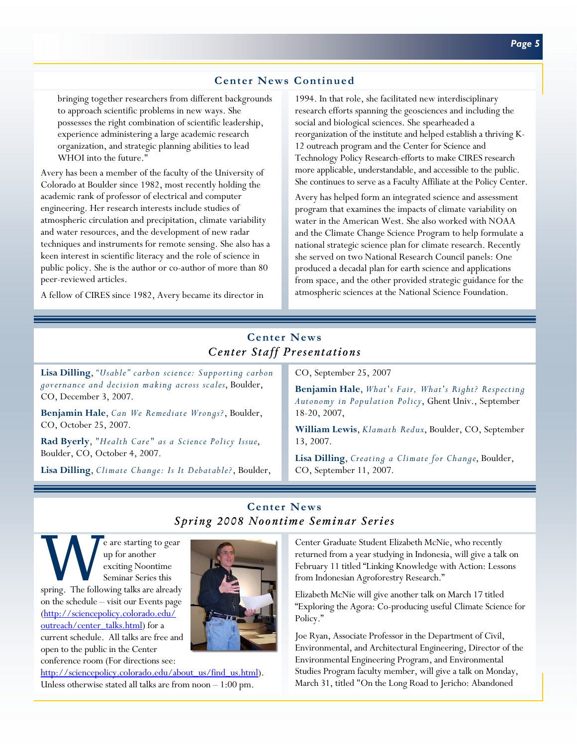## **Center News Continued**

bringing together researchers from different backgrounds to approach scientific problems in new ways. She possesses the right combination of scientific leadership, experience administering a large academic research organization, and strategic planning abilities to lead WHOI into the future."

Avery has been a member of the faculty of the University of Colorado at Boulder since 1982, most recently holding the academic rank of professor of electrical and computer engineering. Her research interests include studies of atmospheric circulation and precipitation, climate variability and water resources, and the development of new radar techniques and instruments for remote sensing. She also has a keen interest in scientific literacy and the role of science in public policy. She is the author or co-author of more than 80 peer-reviewed articles.

A fellow of CIRES since 1982, Avery became its director in

1994. In that role, she facilitated new interdisciplinary research efforts spanning the geosciences and including the social and biological sciences. She spearheaded a reorganization of the institute and helped establish a thriving K-12 outreach program and the Center for Science and Technology Policy Research-efforts to make CIRES research more applicable, understandable, and accessible to the public. She continues to serve as a Faculty Affiliate at the Policy Center.

Avery has helped form an integrated science and assessment program that examines the impacts of climate variability on water in the American West. She also worked with NOAA and the Climate Change Science Program to help formulate a national strategic science plan for climate research. Recently she served on two National Research Council panels: One produced a decadal plan for earth science and applications from space, and the other provided strategic guidance for the atmospheric sciences at the National Science Foundation.

# **Center News**  *Center Staff Presentations*

**Lisa Dilling**, *"Usable" carbon science: Supporting carbon governance and decision making across scales*, Boulder, CO, December 3, 2007.

**Benjamin Hale**, *Can We Remediate Wrongs?*, Boulder, CO, October 25, 2007.

**Rad Byerly**, *"Health Care" as a Science Policy Issue*, Boulder, CO, October 4, 2007.

**Lisa Dilling**, *Climate Change: Is It Debatable?*, Boulder,

CO, September 25, 2007

**Benjamin Hale**, *What's Fair, What's Right? Respecting Autonomy in Population Policy*, Ghent Univ., September 18-20, 2007,

**William Lewis**, *Klamath Redux*, Boulder, CO, September 13, 2007.

**Lisa Dilling**, *Creating a Climate for Change*, Boulder, CO, September 11, 2007.

## **Center News**  *Spring 2008 Noontime Seminar Series*

W e are starting to gear<br>
up for another<br>
exciting Noontime<br>
spring. The following talks are already up for another exciting Noontime Seminar Series this on the schedule – visit our Events page (http://sciencepolicy.colorado.edu/ outreach/center\_talks.html) for a current schedule. All talks are free and open to the public in the Center conference room (For directions see:



http://sciencepolicy.colorado.edu/about\_us/find\_us.html). Unless otherwise stated all talks are from noon – 1:00 pm.

Center Graduate Student Elizabeth McNie, who recently returned from a year studying in Indonesia, will give a talk on February 11 titled "Linking Knowledge with Action: Lessons from Indonesian Agroforestry Research."

Elizabeth McNie will give another talk on March 17 titled "Exploring the Agora: Co-producing useful Climate Science for Policy."

Joe Ryan, Associate Professor in the Department of Civil, Environmental, and Architectural Engineering, Director of the Environmental Engineering Program, and Environmental Studies Program faculty member, will give a talk on Monday, March 31, titled "On the Long Road to Jericho: Abandoned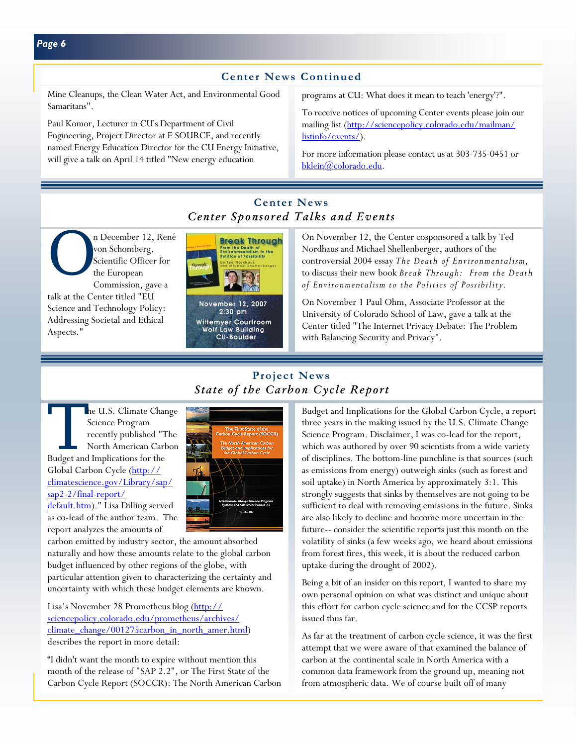## *Page 6*

## **Center News Continued**

Mine Cleanups, the Clean Water Act, and Environmental Good Samaritans".

Paul Komor, Lecturer in CU's Department of Civil Engineering, Project Director at E SOURCE, and recently named Energy Education Director for the CU Energy Initiative, will give a talk on April 14 titled "New energy education

programs at CU: What does it mean to teach 'energy'?".

To receive notices of upcoming Center events please join our mailing list (http://sciencepolicy.colorado.edu/mailman/ listinfo/events/).

For more information please contact us at 303-735-0451 or bklein@colorado.edu.

# *Center Sponsored Talks and Events*

n December 12, René<br>
von Schomberg,<br>
Scientific Officer for<br>
the European<br>
Commission gave a von Schomberg, Scientific Officer for the European Commission, gave a talk at the Center titled "EU

Science and Technology Policy: Addressing Societal and Ethical Aspects."



 $2:30$  pm Wittemyer Courtroom<br>Wolf Law Building **CU-Boulder** 

On November 12, the Center cosponsored a talk by Ted Nordhaus and Michael Shellenberger, authors of the controversial 2004 essay *The Death of Environmentalism*, to discuss their new book *Break Through: From the Death of Environmentalism to the Politics of Possibility*.

On November 1 Paul Ohm, Associate Professor at the University of Colorado School of Law, gave a talk at the Center titled "The Internet Privacy Debate: The Problem with Balancing Security and Privacy".

# **Project News**  *State of the Carbon Cycle Report*

he U.S. Climate Change Science Program recently published "The North American Carbon Budget and Implications for the Global Carbon Cycle (http:// climatescience.gov/Library/sap/ sap2-2/final-report/

default.htm)." Lisa Dilling served as co-lead of the author team. The report analyzes the amounts of



carbon emitted by industry sector, the amount absorbed naturally and how these amounts relate to the global carbon budget influenced by other regions of the globe, with particular attention given to characterizing the certainty and uncertainty with which these budget elements are known.

Lisa's November 28 Prometheus blog (http:// sciencepolicy.colorado.edu/prometheus/archives/ climate\_change/001275carbon\_in\_north\_amer.html) describes the report in more detail:

"I didn't want the month to expire without mention this month of the release of "SAP 2.2", or The First State of the Carbon Cycle Report (SOCCR): The North American Carbon Budget and Implications for the Global Carbon Cycle, a report three years in the making issued by the U.S. Climate Change Science Program. Disclaimer, I was co-lead for the report, which was authored by over 90 scientists from a wide variety of disciplines. The bottom-line punchline is that sources (such as emissions from energy) outweigh sinks (such as forest and soil uptake) in North America by approximately 3:1. This strongly suggests that sinks by themselves are not going to be sufficient to deal with removing emissions in the future. Sinks are also likely to decline and become more uncertain in the future-- consider the scientific reports just this month on the volatility of sinks (a few weeks ago, we heard about emissions from forest fires, this week, it is about the reduced carbon uptake during the drought of 2002).

Being a bit of an insider on this report, I wanted to share my own personal opinion on what was distinct and unique about this effort for carbon cycle science and for the CCSP reports issued thus far.

As far at the treatment of carbon cycle science, it was the first attempt that we were aware of that examined the balance of carbon at the continental scale in North America with a common data framework from the ground up, meaning not from atmospheric data. We of course built off of many

# **Center News**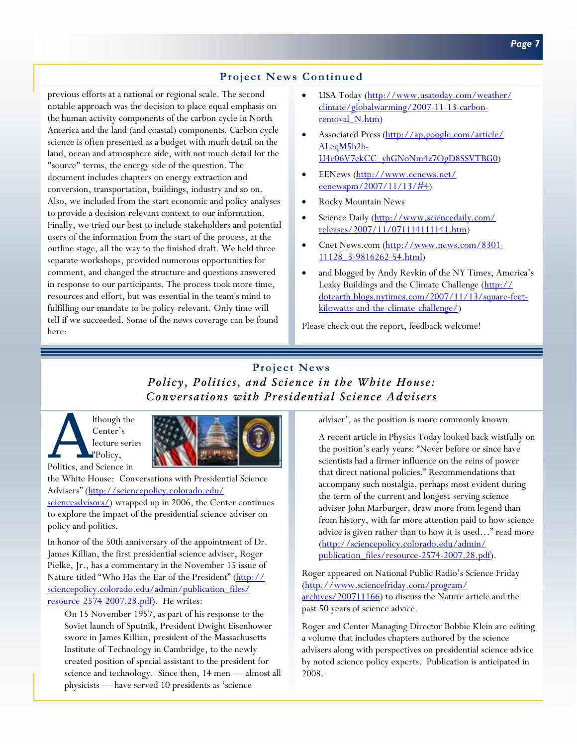## **Project News Continued**

previous efforts at a national or regional scale. The second notable approach was the decision to place equal emphasis on the human activity components of the carbon cycle in North America and the land (and coastal) components. Carbon cycle science is often presented as a budget with much detail on the land, ocean and atmosphere side, with not much detail for the "source" terms, the energy side of the question. The document includes chapters on energy extraction and conversion, transportation, buildings, industry and so on. Also, we included from the start economic and policy analyses to provide a decision-relevant context to our information. Finally, we tried our best to include stakeholders and potential users of the information from the start of the process, at the outline stage, all the way to the finished draft. We held three separate workshops, provided numerous opportunities for comment, and changed the structure and questions answered in response to our participants. The process took more time, resources and effort, but was essential in the team's mind to fulfilling our mandate to be policy-relevant. Only time will tell if we succeeded. Some of the news coverage can be found here:

- USA Today (http://www.usatoday.com/weather/ climate/globalwarming/2007-11-13-carbonremoval N.htm)
- Associated Press (http://ap.google.com/article/ ALeqM5h2b-U4e06V7ekCC\_yhGNoNm4z7OgD8SSVTBG0)
- EENews (http://www.eenews.net/ eenewspm/2007/11/13/#4)
- Rocky Mountain News
- Science Daily (http://www.sciencedaily.com/ releases/2007/11/071114111141.htm)
- Cnet News.com (http://www.news.com/8301-11128\_3-9816262-54.html)
- and blogged by Andy Revkin of the NY Times, America's Leaky Buildings and the Climate Challenge (http:// dotearth.blogs.nytimes.com/2007/11/13/square-feetkilowatts-and-the-climate-challenge/)

Please check out the report, feedback welcome!

# **Project News**  *Policy, Politics, and Science in the White House: Conversations with Presidential Science Advisers*

A lthough the<br>
Center's<br>
lecture serie<br>
"Policy,<br>
Politics, and Science in Center's lecture series "Policy,



the White House: Conversations with Presidential Science Advisers" (http://sciencepolicy.colorado.edu/ scienceadvisors/) wrapped up in 2006, the Center continues to explore the impact of the presidential science adviser on policy and politics.

In honor of the 50th anniversary of the appointment of Dr. James Killian, the first presidential science adviser, Roger Pielke, Jr., has a commentary in the November 15 issue of Nature titled "Who Has the Ear of the President" (http:// sciencepolicy.colorado.edu/admin/publication\_files/ resource-2574-2007.28.pdf). He writes:

On 15 November 1957, as part of his response to the Soviet launch of Sputnik, President Dwight Eisenhower swore in James Killian, president of the Massachusetts Institute of Technology in Cambridge, to the newly created position of special assistant to the president for science and technology. Since then, 14 men — almost all physicists — have served 10 presidents as 'science

adviser', as the position is more commonly known.

A recent article in Physics Today looked back wistfully on the position's early years: "Never before or since have scientists had a firmer influence on the reins of power that direct national policies." Recommendations that accompany such nostalgia, perhaps most evident during the term of the current and longest-serving science adviser John Marburger, draw more from legend than from history, with far more attention paid to how science advice is given rather than to how it is used…" read more (http://sciencepolicy.colorado.edu/admin/ publication\_files/resource-2574-2007.28.pdf).

Roger appeared on National Public Radio's Science Friday (http://www.sciencefriday.com/program/ archives/200711166) to discuss the Nature article and the past 50 years of science advice.

Roger and Center Managing Director Bobbie Klein are editing a volume that includes chapters authored by the science advisers along with perspectives on presidential science advice by noted science policy experts. Publication is anticipated in 2008.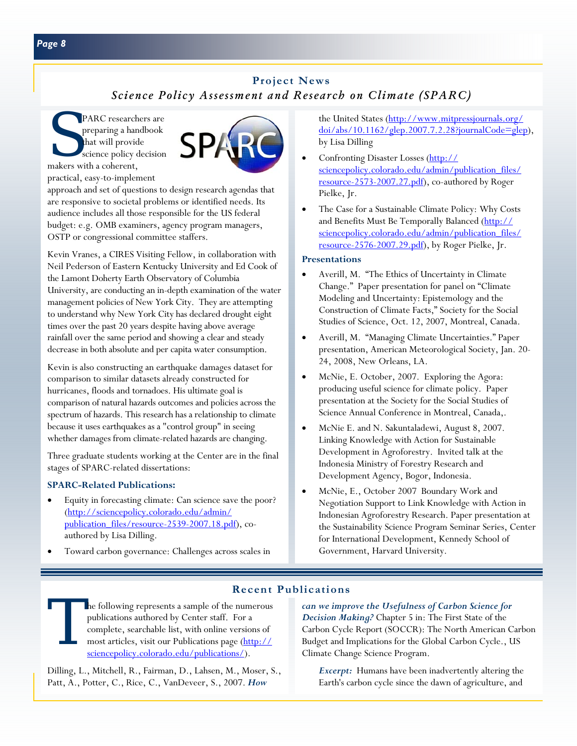# **Project News**  *Science Policy Assessment and Research on Climate (SPARC)*

PARC researchers are preparing a handbook that will provide science policy decision makers with a coherent, practical, easy-to-implement



approach and set of questions to design research agendas that are responsive to societal problems or identified needs. Its audience includes all those responsible for the US federal budget: e.g. OMB examiners, agency program managers, OSTP or congressional committee staffers.

Kevin Vranes, a CIRES Visiting Fellow, in collaboration with Neil Pederson of Eastern Kentucky University and Ed Cook of the Lamont Doherty Earth Observatory of Columbia University, are conducting an in-depth examination of the water management policies of New York City. They are attempting to understand why New York City has declared drought eight times over the past 20 years despite having above average rainfall over the same period and showing a clear and steady decrease in both absolute and per capita water consumption.

Kevin is also constructing an earthquake damages dataset for comparison to similar datasets already constructed for hurricanes, floods and tornadoes. His ultimate goal is comparison of natural hazards outcomes and policies across the spectrum of hazards. This research has a relationship to climate because it uses earthquakes as a "control group" in seeing whether damages from climate-related hazards are changing.

Three graduate students working at the Center are in the final stages of SPARC-related dissertations:

## **SPARC-Related Publications:**

- Equity in forecasting climate: Can science save the poor? (http://sciencepolicy.colorado.edu/admin/ publication\_files/resource-2539-2007.18.pdf), coauthored by Lisa Dilling.
- Toward carbon governance: Challenges across scales in

the United States (http://www.mitpressjournals.org/ doi/abs/10.1162/glep.2007.7.2.28?journalCode=glep), by Lisa Dilling

- Confronting Disaster Losses (http:// sciencepolicy.colorado.edu/admin/publication\_files/ resource-2573-2007.27.pdf), co-authored by Roger Pielke, Jr.
- The Case for a Sustainable Climate Policy: Why Costs and Benefits Must Be Temporally Balanced (http:// sciencepolicy.colorado.edu/admin/publication\_files/ resource-2576-2007.29.pdf), by Roger Pielke, Jr.

### **Presentations**

- Averill, M. "The Ethics of Uncertainty in Climate Change." Paper presentation for panel on "Climate Modeling and Uncertainty: Epistemology and the Construction of Climate Facts," Society for the Social Studies of Science, Oct. 12, 2007, Montreal, Canada.
- Averill, M. "Managing Climate Uncertainties." Paper presentation, American Meteorological Society, Jan. 20- 24, 2008, New Orleans, LA.
- McNie, E. October, 2007. Exploring the Agora: producing useful science for climate policy. Paper presentation at the Society for the Social Studies of Science Annual Conference in Montreal, Canada,.
- McNie E. and N. Sakuntaladewi, August 8, 2007. Linking Knowledge with Action for Sustainable Development in Agroforestry. Invited talk at the Indonesia Ministry of Forestry Research and Development Agency, Bogor, Indonesia.
- McNie, E., October 2007 Boundary Work and Negotiation Support to Link Knowledge with Action in Indonesian Agroforestry Research. Paper presentation at the Sustainability Science Program Seminar Series, Center for International Development, Kennedy School of Government, Harvard University.

# **Recent Publications**

The following represents a sample of the numerous<br>publications authored by Center staff. For a<br>complete, searchable list, with online versions of<br>most articles, visit our Publications page (http://<br>sciencepolicy.colorado.e publications authored by Center staff. For a complete, searchable list, with online versions of most articles, visit our Publications page (http:// sciencepolicy.colorado.edu/publications/).

Dilling, L., Mitchell, R., Fairman, D., Lahsen, M., Moser, S., Patt, A., Potter, C., Rice, C., VanDeveer, S., 2007. *How* 

*can we improve the Usefulness of Carbon Science for Decision Making?* Chapter 5 in: The First State of the Carbon Cycle Report (SOCCR): The North American Carbon Budget and Implications for the Global Carbon Cycle., US Climate Change Science Program.

*Excerpt:* Humans have been inadvertently altering the Earth's carbon cycle since the dawn of agriculture, and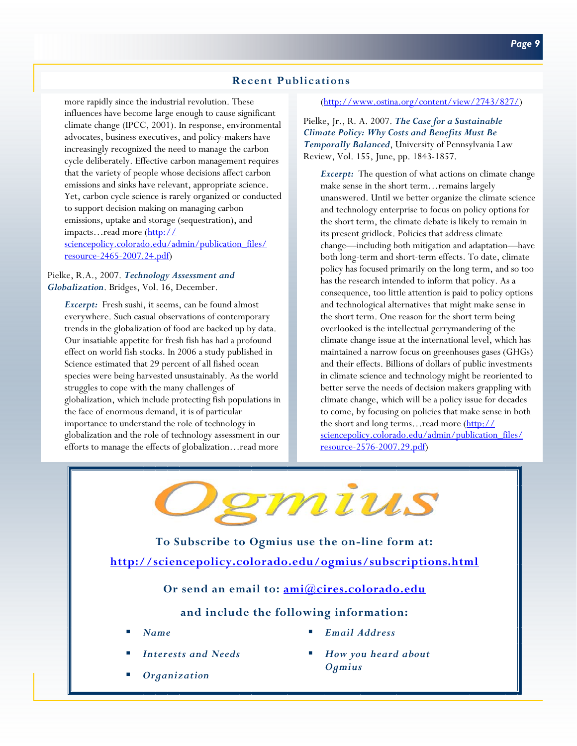## **Recent Publications**

more rapidly since the industrial revolution. These influences have become large enough to cause significant climate change (IPCC, 2001). In response, environmental advocates, business executives, and policy-makers have increasingly recognized the need to manage the carbon cycle deliberately. Effective carbon management requires that the variety of people whose decisions affect carbon emissions and sinks have relevant, appropriate science. Yet, carbon cycle science is rarely organized or conducted to support decision making on managing carbon emissions, uptake and storage (sequestration), and impacts…read more (http:// sciencepolicy.colorado.edu/admin/publication\_files/ resource-2465-2007.24.pdf)

Pielke, R.A., 2007. *Technology Assessment and Globalization*. Bridges, Vol. 16, December.

*Excerpt:* Fresh sushi, it seems, can be found almost everywhere. Such casual observations of contemporary trends in the globalization of food are backed up by data. Our insatiable appetite for fresh fish has had a profound effect on world fish stocks. In 2006 a study published in Science estimated that 29 percent of all fished ocean species were being harvested unsustainably. As the world struggles to cope with the many challenges of globalization, which include protecting fish populations in the face of enormous demand, it is of particular importance to understand the role of technology in globalization and the role of technology assessment in our efforts to manage the effects of globalization…read more

#### (http://www.ostina.org/content/view/2743/827/)

Pielke, Jr., R. A. 2007. *The Case for a Sustainable Climate Policy: Why Costs and Benefits Must Be Temporally Balanced*, University of Pennsylvania Law Review, Vol. 155, June, pp. 1843-1857.

*Excerpt:* The question of what actions on climate change make sense in the short term…remains largely unanswered. Until we better organize the climate science and technology enterprise to focus on policy options for the short term, the climate debate is likely to remain in its present gridlock. Policies that address climate change—including both mitigation and adaptation—have both long-term and short-term effects. To date, climate policy has focused primarily on the long term, and so too has the research intended to inform that policy. As a consequence, too little attention is paid to policy options and technological alternatives that might make sense in the short term. One reason for the short term being overlooked is the intellectual gerrymandering of the climate change issue at the international level, which has maintained a narrow focus on greenhouses gases (GHGs) and their effects. Billions of dollars of public investments in climate science and technology might be reoriented to better serve the needs of decision makers grappling with climate change, which will be a policy issue for decades to come, by focusing on policies that make sense in both the short and long terms...read more (http:// sciencepolicy.colorado.edu/admin/publication\_files/ resource-2576-2007.29.pdf)



**To Subscribe to Ogmius use the on-line form at: <http://sciencepolicy.colorado.edu/ogmius/subscriptions.html>**

**Or send an email to: ami@cires.colorado.edu**

## **and include the following information:**

- *Name*
- *Interests and Needs*
- *Organization*
- *Email Address*
- *How you heard about Ogmius*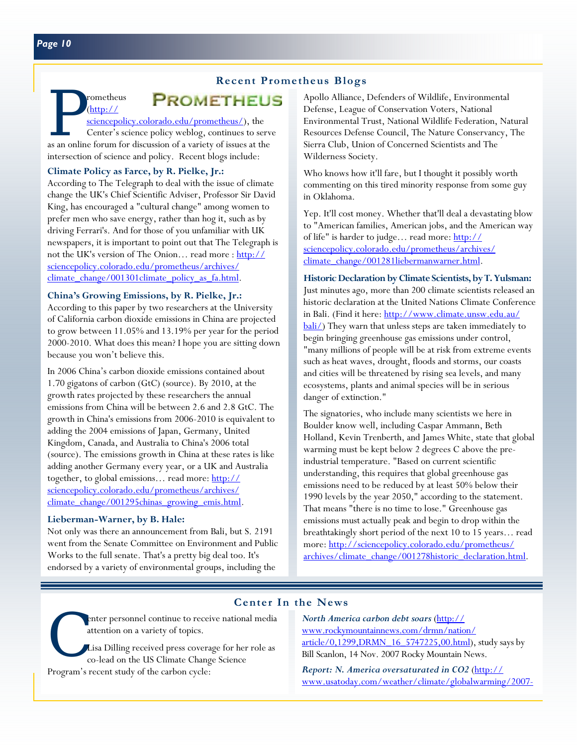# **PROMETHEUS**

**EXOMETHEUS (http://**<br>
<u>sciencepolicy.colorado.edu/prometheus/</u>), the<br>
Center's science policy weblog, continues to serve<br>
as an online forum for discussion of a variety of issues at the sciencepolicy.colorado.edu/prometheus/), the Center's science policy weblog, continues to serve intersection of science and policy. Recent blogs include:

### **Climate Policy as Farce, by R. Pielke, Jr.:**

(http://

According to The Telegraph to deal with the issue of climate change the UK's Chief Scientific Adviser, Professor Sir David King, has encouraged a "cultural change" among women to prefer men who save energy, rather than hog it, such as by driving Ferrari's. And for those of you unfamiliar with UK newspapers, it is important to point out that The Telegraph is not the UK's version of The Onion... read more : http:// sciencepolicy.colorado.edu/prometheus/archives/ climate\_change/001301climate\_policy\_as\_fa.html.

#### **China's Growing Emissions, by R. Pielke, Jr.:**

According to this paper by two researchers at the University of California carbon dioxide emissions in China are projected to grow between 11.05% and 13.19% per year for the period 2000-2010. What does this mean? I hope you are sitting down because you won't believe this.

In 2006 China's carbon dioxide emissions contained about 1.70 gigatons of carbon (GtC) (source). By 2010, at the growth rates projected by these researchers the annual emissions from China will be between 2.6 and 2.8 GtC. The growth in China's emissions from 2006-2010 is equivalent to adding the 2004 emissions of Japan, Germany, United Kingdom, Canada, and Australia to China's 2006 total (source). The emissions growth in China at these rates is like adding another Germany every year, or a UK and Australia together, to global emissions… read more: http:// sciencepolicy.colorado.edu/prometheus/archives/ climate\_change/001295chinas\_growing\_emis.html.

#### **Lieberman-Warner, by B. Hale:**

Not only was there an announcement from Bali, but S. 2191 went from the Senate Committee on Environment and Public Works to the full senate. That's a pretty big deal too. It's endorsed by a variety of environmental groups, including the

Apollo Alliance, Defenders of Wildlife, Environmental Defense, League of Conservation Voters, National Environmental Trust, National Wildlife Federation, Natural Resources Defense Council, The Nature Conservancy, The Sierra Club, Union of Concerned Scientists and The Wilderness Society.

Who knows how it'll fare, but I thought it possibly worth commenting on this tired minority response from some guy in Oklahoma.

Yep. It'll cost money. Whether that'll deal a devastating blow to "American families, American jobs, and the American way of life" is harder to judge... read more: http:// sciencepolicy.colorado.edu/prometheus/archives/ climate\_change/001281liebermanwarner.html.

**Historic Declaration by Climate Scientists, by T. Yulsman:**  Just minutes ago, more than 200 climate scientists released an historic declaration at the United Nations Climate Conference in Bali. (Find it here: http://www.climate.unsw.edu.au/ bali/) They warn that unless steps are taken immediately to begin bringing greenhouse gas emissions under control, "many millions of people will be at risk from extreme events such as heat waves, drought, floods and storms, our coasts and cities will be threatened by rising sea levels, and many ecosystems, plants and animal species will be in serious danger of extinction."

The signatories, who include many scientists we here in Boulder know well, including Caspar Ammann, Beth Holland, Kevin Trenberth, and James White, state that global warming must be kept below 2 degrees C above the preindustrial temperature. "Based on current scientific understanding, this requires that global greenhouse gas emissions need to be reduced by at least 50% below their 1990 levels by the year 2050," according to the statement. That means "there is no time to lose." Greenhouse gas emissions must actually peak and begin to drop within the breathtakingly short period of the next 10 to 15 years… read more: http://sciencepolicy.colorado.edu/prometheus/ archives/climate\_change/001278historic\_declaration.html.

## **Center In the News**

attention on a variety of topics.

enter personnel continue to receive national media<br>attention on a variety of topics.<br>Lisa Dilling received press coverage for her role as<br>co-lead on the US Climate Change Science Lisa Dilling received press coverage for her role as co-lead on the US Climate Change Science Program's recent study of the carbon cycle:

*North America carbon debt soars* (http:// www.rockymountainnews.com/drmn/nation/  $article/0,1299, DRMN$  16  $5747225,00.html$ , study says by Bill Scanlon, 14 Nov. 2007 Rocky Mountain News.

*Report: N. America oversaturated in CO2* (http:// www.usatoday.com/weather/climate/globalwarming/2007-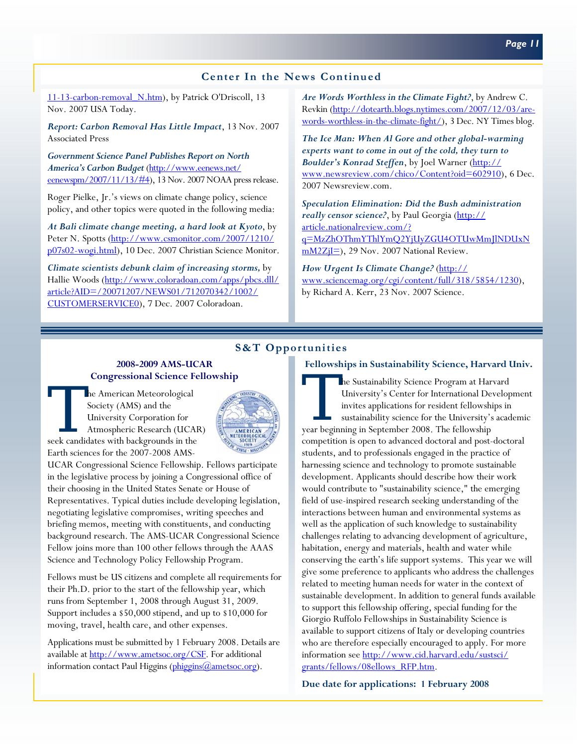## **Center In the News Continued**

11-13-carbon-removal N.htm), by Patrick O'Driscoll, 13 Nov. 2007 USA Today.

*Report: Carbon Removal Has Little Impact*, 13 Nov. 2007 Associated Press

*Government Science Panel Publishes Report on North America's Carbon Budget* (http://www.eenews.net/ eenewspm/2007/11/13/#4), 13 Nov. 2007 NOAA press release.

Roger Pielke, Jr.'s views on climate change policy, science policy, and other topics were quoted in the following media:

*At Bali climate change meeting, a hard look at Kyoto*, by Peter N. Spotts (http://www.csmonitor.com/2007/1210/ p07s02-wogi.html), 10 Dec. 2007 Christian Science Monitor.

*Climate scientists debunk claim of increasing storms,* by Hallie Woods (http://www.coloradoan.com/apps/pbcs.dll/ article?AID=/20071207/NEWS01/712070342/1002/ CUSTOMERSERVICE0), 7 Dec. 2007 Coloradoan.

*Are Words Worthless in the Climate Fight?*, by Andrew C. Revkin (http://dotearth.blogs.nytimes.com/2007/12/03/arewords-worthless-in-the-climate-fight/), 3 Dec. NY Times blog.

*The Ice Man: When Al Gore and other global-warming experts want to come in out of the cold, they turn to Boulder's Konrad Steffen*, by Joel Warner (http:// www.newsreview.com/chico/Content?oid=602910), 6 Dec. 2007 Newsreview.com.

*Speculation Elimination: Did the Bush administration*  really censor science?, by Paul Georgia (http:// article.nationalreview.com/? q=MzZhOThmYThlYmQ2YjUyZGU4OTUwMmJlNDUxN  $mM2Z_iI=$ ), 29 Nov. 2007 National Review.

*How Urgent Is Climate Change?* (http:// www.sciencemag.org/cgi/content/full/318/5854/1230), by Richard A. Kerr, 23 Nov. 2007 Science.

#### **S&T Opportunities**

#### **2008-2009 AMS-UCAR Congressional Science Fellowship**

The American Meteorological<br>
Society (AMS) and the<br>
University Corporation for<br>
Atmospheric Research (UCAF<br>
seek candidates with backgrounds in the Society (AMS) and the University Corporation for Atmospheric Research (UCAR) Earth sciences for the 2007-2008 AMS-



UCAR Congressional Science Fellowship. Fellows participate in the legislative process by joining a Congressional office of their choosing in the United States Senate or House of Representatives. Typical duties include developing legislation, negotiating legislative compromises, writing speeches and briefing memos, meeting with constituents, and conducting background research. The AMS-UCAR Congressional Science Fellow joins more than 100 other fellows through the AAAS Science and Technology Policy Fellowship Program.

Fellows must be US citizens and complete all requirements for their Ph.D. prior to the start of the fellowship year, which runs from September 1, 2008 through August 31, 2009. Support includes a \$50,000 stipend, and up to \$10,000 for moving, travel, health care, and other expenses.

Applications must be submitted by 1 February 2008. Details are available at http://www.ametsoc.org/CSF. For additional information contact Paul Higgins (phiggins@ametsoc.org).

#### **Fellowships in Sustainability Science, Harvard Univ.**

The Sustainability Science Program at Harvard<br>University's Center for International Develop<br>invites applications for resident fellowships in<br>sustainability science for the University's acad<br>vear beginning in September 2008 University's Center for International Development invites applications for resident fellowships in sustainability science for the University's academic year beginning in September 2008. The fellowship competition is open to advanced doctoral and post-doctoral students, and to professionals engaged in the practice of harnessing science and technology to promote sustainable development. Applicants should describe how their work would contribute to "sustainability science," the emerging field of use-inspired research seeking understanding of the interactions between human and environmental systems as well as the application of such knowledge to sustainability challenges relating to advancing development of agriculture, habitation, energy and materials, health and water while conserving the earth's life support systems. This year we will give some preference to applicants who address the challenges related to meeting human needs for water in the context of sustainable development. In addition to general funds available to support this fellowship offering, special funding for the Giorgio Ruffolo Fellowships in Sustainability Science is available to support citizens of Italy or developing countries who are therefore especially encouraged to apply. For more information see http://www.cid.harvard.edu/sustsci/ grants/fellows/08ellows\_RFP.htm.

**Due date for applications: 1 February 2008**